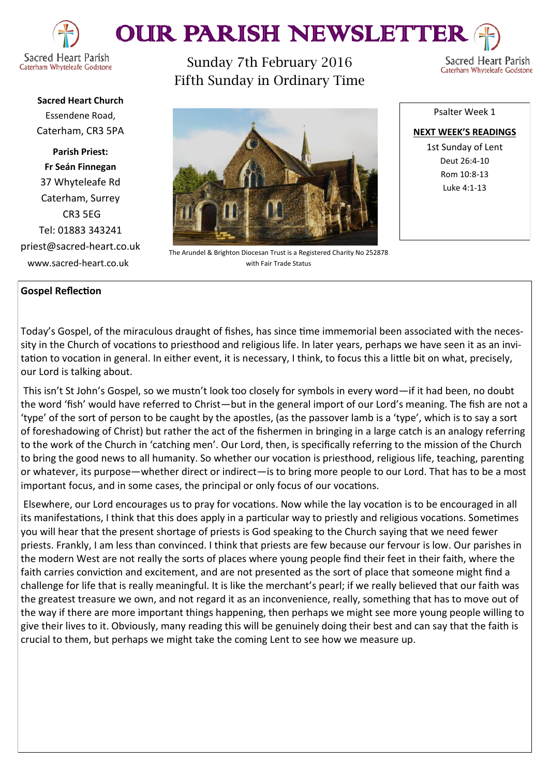

# OUR PARISH NEWSLETTEI

Caterham Whyteleafe Godstone

Sunday 7th February 2016 Fifth Sunday in Ordinary Time

Sacred Heart Parish Caterham Whyteleafe Godstone

**Sacred Heart Church** Essendene Road, Caterham, CR3 5PA

**Parish Priest: Fr Seán Finnegan** 37 Whyteleafe Rd Caterham, Surrey CR3 5EG Tel: 01883 343241 priest@sacred-heart.co.uk www.sacred-heart.co.uk

The Arundel & Brighton Diocesan Trust is a Registered Charity No 252878 with Fair Trade Status

**NEXT WEEK'S READINGS** 1st Sunday of Lent Deut 26:4-10 Rom 10:8-13 Luke 4:1-13

Psalter Week 1

# **Gospel Reflection**

Today's Gospel, of the miraculous draught of fishes, has since time immemorial been associated with the necessity in the Church of vocations to priesthood and religious life. In later years, perhaps we have seen it as an invitation to vocation in general. In either event, it is necessary, I think, to focus this a little bit on what, precisely, our Lord is talking about.

This isn't St John's Gospel, so we mustn't look too closely for symbols in every word—if it had been, no doubt the word 'fish' would have referred to Christ—but in the general import of our Lord's meaning. The fish are not a 'type' of the sort of person to be caught by the apostles, (as the passover lamb is a 'type', which is to say a sort of foreshadowing of Christ) but rather the act of the fishermen in bringing in a large catch is an analogy referring to the work of the Church in 'catching men'. Our Lord, then, is specifically referring to the mission of the Church to bring the good news to all humanity. So whether our vocation is priesthood, religious life, teaching, parenting or whatever, its purpose—whether direct or indirect—is to bring more people to our Lord. That has to be a most important focus, and in some cases, the principal or only focus of our vocations.

Elsewhere, our Lord encourages us to pray for vocations. Now while the lay vocation is to be encouraged in all its manifestations, I think that this does apply in a particular way to priestly and religious vocations. Sometimes you will hear that the present shortage of priests is God speaking to the Church saying that we need fewer priests. Frankly, I am less than convinced. I think that priests are few because our fervour is low. Our parishes in the modern West are not really the sorts of places where young people find their feet in their faith, where the faith carries conviction and excitement, and are not presented as the sort of place that someone might find a challenge for life that is really meaningful. It is like the merchant's pearl; if we really believed that our faith was the greatest treasure we own, and not regard it as an inconvenience, really, something that has to move out of the way if there are more important things happening, then perhaps we might see more young people willing to give their lives to it. Obviously, many reading this will be genuinely doing their best and can say that the faith is crucial to them, but perhaps we might take the coming Lent to see how we measure up.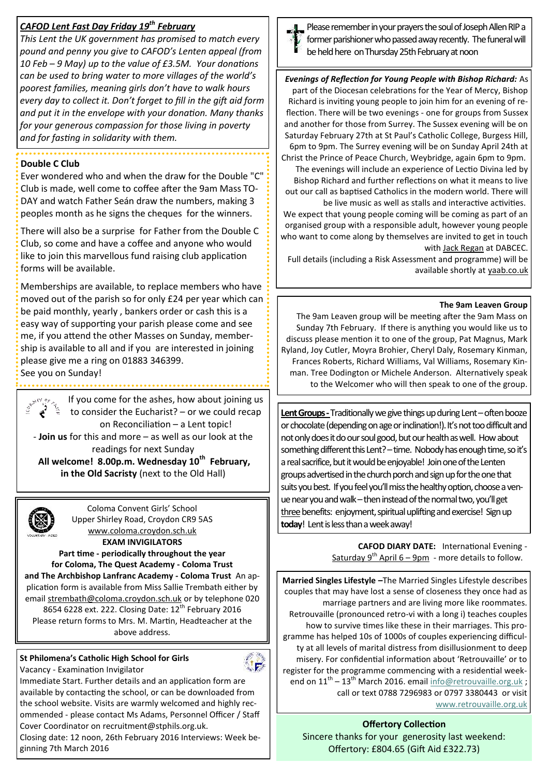# *CAFOD Lent Fast Day Friday 19th February*

*This Lent the UK government has promised to match every pound and penny you give to CAFOD's Lenten appeal (from 10 Feb – 9 May) up to the value of £3.5M. Your donations can be used to bring water to more villages of the world's poorest families, meaning girls don't have to walk hours every day to collect it. Don't forget to fill in the gift aid form and put it in the envelope with your donation. Many thanks for your generous compassion for those living in poverty and for fasting in solidarity with them.* 

# **Double C Club**

Ever wondered who and when the draw for the Double "C" Club is made, well come to coffee after the 9am Mass TO-DAY and watch Father Seán draw the numbers, making 3 peoples month as he signs the cheques for the winners.

There will also be a surprise for Father from the Double C Club, so come and have a coffee and anyone who would like to join this marvellous fund raising club application forms will be available.

Memberships are available, to replace members who have moved out of the parish so for only £24 per year which can be paid monthly, yearly , bankers order or cash this is a easy way of supporting your parish please come and see me, if you attend the other Masses on Sunday, membership is available to all and if you are interested in joining please give me a ring on 01883 346399.

See you on Sunday!

If you come for the ashes, how about joining us y or to consider the Eucharist? – or we could recap on Reconciliation – a Lent topic! - **Join us** for this and more – as well as our look at the readings for next Sunday **All welcome! 8.00p.m. Wednesday 10th February,** 

**in the Old Sacristy** (next to the Old Hall)

Coloma Convent Girls' School Upper Shirley Road, Croydon CR9 5AS [www.coloma.croydon.sch.uk](http://www.coloma.croydon.sch.uk/)

**EXAM INVIGILATORS** 

**Part time - periodically throughout the year** 

**for Coloma, The Quest Academy - Coloma Trust and The Archbishop Lanfranc Academy - Coloma Trust** An application form is available from Miss Sallie Trembath either by email [strembath@coloma.croydon.sch.uk](mailto:strembath@coloma.croydon.sch.uk) or by telephone 020 8654 6228 ext. 222. Closing Date: 12<sup>th</sup> February 2016 Please return forms to Mrs. M. Martin, Headteacher at the above address.

# **St Philomena's Catholic High School for Girls**

Vacancy - Examination Invigilator



Immediate Start. Further details and an application form are available by contacting the school, or can be downloaded from the school website. Visits are warmly welcomed and highly recommended - please contact Ms Adams, Personnel Officer / Staff Cover Coordinator on recruitment@stphils.org.uk.

Closing date: 12 noon, 26th February 2016 Interviews: Week beginning 7th March 2016



Please remember in your prayers the soul of Joseph Allen RIP a former parishioner who passed away recently. The funeral will be held here on Thursday 25th February at noon

*Evenings of Reflection for Young People with Bishop Richard:* As part of the Diocesan celebrations for the Year of Mercy, Bishop Richard is inviting young people to join him for an evening of reflection. There will be two evenings - one for groups from Sussex and another for those from Surrey. The Sussex evening will be on Saturday February 27th at St Paul's Catholic College, Burgess Hill, 6pm to 9pm. The Surrey evening will be on Sunday April 24th at Christ the Prince of Peace Church, Weybridge, again 6pm to 9pm. The evenings will include an experience of Lectio Divina led by Bishop Richard and further reflections on what it means to live out our call as baptised Catholics in the modern world. There will be live music as well as stalls and interactive activities. We expect that young people coming will be coming as part of an organised group with a responsible adult, however young people who want to come along by themselves are invited to get in touch with [Jack Regan](mailto:jack.regan@dabnet.org?subject=BIshop%20Richard%20reflection%20evenings) at DABCEC.

Full details (including a Risk Assessment and programme) will be available shortly at [yaab.co.uk](http://x4io.mj.am/link/x4io/y6wnz96wxj4/10/NQtVI-QxXfZGqtxpQN9GFQ/aHR0cDovL3lhYWIuY28udWs)

#### **The 9am Leaven Group**

The 9am Leaven group will be meeting after the 9am Mass on Sunday 7th February. If there is anything you would like us to discuss please mention it to one of the group, Pat Magnus, Mark Ryland, Joy Cutler, Moyra Brohier, Cheryl Daly, Rosemary Kinman, Frances Roberts, Richard Williams, Val Williams, Rosemary Kinman. Tree Dodington or Michele Anderson. Alternatively speak to the Welcomer who will then speak to one of the group.

Lent Groups - Traditionally we give things up during Lent – often booze or chocolate (depending on age or inclination!). It's not too difficult and not only does it do our soul good, but our health as well. How about something different this Lent? – time. Nobody has enough time, so it's a real sacrifice, but it would be enjoyable! Join one of the Lenten groups advertised in the church porch and sign up for the one that suits you best. If you feel you'll miss the healthy option, choose a venue near you and walk – then instead of the normal two, you'll get three benefits: enjoyment, spiritual uplifting and exercise! Sign up **today**! Lent is less than a week away!

> **CAFOD DIARY DATE:** International Evening - Saturday  $9^{th}$  April 6 – 9pm - more details to follow.

**Married Singles Lifestyle –**The Married Singles Lifestyle describes couples that may have lost a sense of closeness they once had as marriage partners and are living more like roommates. Retrouvaille (pronounced retro-vi with a long i) teaches couples how to survive times like these in their marriages. This programme has helped 10s of 1000s of couples experiencing difficulty at all levels of marital distress from disillusionment to deep misery. For confidential information about 'Retrouvaille' or to register for the programme commencing with a residential weekend on  $11^{th}$  –  $13^{th}$  March 2016. email  $\frac{1}{100}$  etrouvaille.org.uk; call or text 0788 7296983 or 0797 3380443 or visit [www.retrouvaille.org.uk](http://www.retrouvaille.org.uk)

**Offertory Collection** Sincere thanks for your generosity last weekend: Offertory: £804.65 (Gift Aid £322.73)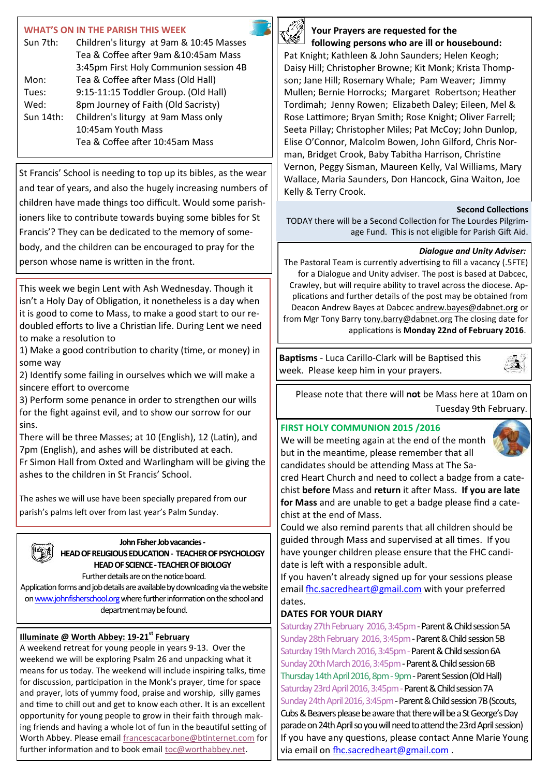# **WHAT'S ON IN THE PARISH THIS WEEK**

| Sun 7th:     | Children's liturgy at 9am & 10:45 Masses |
|--------------|------------------------------------------|
|              | Tea & Coffee after 9am & 10:45am Mass    |
|              | 3:45pm First Holy Communion session 4B   |
| Mon:         | Tea & Coffee after Mass (Old Hall)       |
| Tues:        | 9:15-11:15 Toddler Group. (Old Hall)     |
| Wed:         | 8pm Journey of Faith (Old Sacristy)      |
| Sun $14$ th: | Children's liturgy at 9am Mass only      |
|              | 10:45am Youth Mass                       |
|              | Tea & Coffee after 10:45am Mass          |

St Francis' School is needing to top up its bibles, as the wear and tear of years, and also the hugely increasing numbers of children have made things too difficult. Would some parishioners like to contribute towards buying some bibles for St Francis'? They can be dedicated to the memory of somebody, and the children can be encouraged to pray for the person whose name is written in the front.

This week we begin Lent with Ash Wednesday. Though it isn't a Holy Day of Obligation, it nonetheless is a day when it is good to come to Mass, to make a good start to our redoubled efforts to live a Christian life. During Lent we need to make a resolution to

1) Make a good contribution to charity (time, or money) in some way

2) Identify some failing in ourselves which we will make a sincere effort to overcome

3) Perform some penance in order to strengthen our wills for the fight against evil, and to show our sorrow for our sins.

There will be three Masses; at 10 (English), 12 (Latin), and 7pm (English), and ashes will be distributed at each. Fr Simon Hall from Oxted and Warlingham will be giving the ashes to the children in St Francis' School.

The ashes we will use have been specially prepared from our parish's palms left over from last year's Palm Sunday.

# **John Fisher Job vacancies -**

**HEAD OF RELIGIOUS EDUCATION - TEACHER OF PSYCHOLOGY HEAD OF SCIENCE -TEACHER OF BIOLOGY**

Further details are on the notice board. Application forms and job details are available by downloading via the website on [www.johnfisherschool.org](http://www.johnfisherschool.org) where further information on the school and department may be found.

# **Illuminate @ Worth Abbey: 19-21st February**

A weekend retreat for young people in years 9-13. Over the weekend we will be exploring Psalm 26 and unpacking what it means for us today. The weekend will include inspiring talks, time for discussion, participation in the Monk's prayer, time for space and prayer, lots of yummy food, praise and worship, silly games and time to chill out and get to know each other. It is an excellent opportunity for young people to grow in their faith through making friends and having a whole lot of fun in the beautiful setting of Worth Abbey. Please email [francescacarbone@btinternet.com](mailto:francescacarbone@btinternet.com) for further information and to book email [toc@worthabbey.net.](mailto:toc@worthabbey.net) 



# **Your Prayers are requested for the following persons who are ill or housebound:**

Pat Knight; Kathleen & John Saunders; Helen Keogh; Daisy Hill; Christopher Browne; Kit Monk; Krista Thompson; Jane Hill; Rosemary Whale; Pam Weaver; Jimmy Mullen; Bernie Horrocks; Margaret Robertson; Heather Tordimah; Jenny Rowen; Elizabeth Daley; Eileen, Mel & Rose Lattimore; Bryan Smith; Rose Knight; Oliver Farrell; Seeta Pillay; Christopher Miles; Pat McCoy; John Dunlop, Elise O'Connor, Malcolm Bowen, John Gilford, Chris Norman, Bridget Crook, Baby Tabitha Harrison, Christine Vernon, Peggy Sisman, Maureen Kelly, Val Williams, Mary Wallace, Maria Saunders, Don Hancock, Gina Waiton, Joe Kelly & Terry Crook.

## **Second Collections**

TODAY there will be a Second Collection for The Lourdes Pilgrimage Fund. This is not eligible for Parish Gift Aid.

## *Dialogue and Unity Adviser:*

The Pastoral Team is currently advertising to fill a vacancy (.5FTE) for a Dialogue and Unity adviser. The post is based at Dabcec, Crawley, but will require ability to travel across the diocese. Applications and further details of the post may be obtained from Deacon Andrew Bayes at Dabcec [andrew.bayes@dabnet.org](mailto:andrew.bayes@dabnet.org?subject=Dialogue%20and%20Unity%20Adviser) or from Mgr Tony Barry [tony.barry@dabnet.org](mailto:tony.barry@dabnet.org?subject=Dialogue%20and%20Unity%20Adviser) The closing date for applications is **Monday 22nd of February 2016**.

**Baptisms** - Luca Carillo-Clark will be Baptised this week. Please keep him in your prayers.



Please note that there will **not** be Mass here at 10am on Tuesday 9th February.

# **FIRST HOLY COMMUNION 2015 /2016**

We will be meeting again at the end of the month but in the meantime, please remember that all candidates should be attending Mass at The Sa-



cred Heart Church and need to collect a badge from a catechist **before** Mass and **return** it after Mass. **If you are late for Mass** and are unable to get a badge please find a catechist at the end of Mass.

Could we also remind parents that all children should be guided through Mass and supervised at all times. If you have younger children please ensure that the FHC candidate is left with a responsible adult.

If you haven't already signed up for your sessions please email [fhc.sacredheart@gmail.com](mailto:fhc.sacredheart@gmail.com) with your preferred dates.

# **DATES FOR YOUR DIARY**

Saturday 27th February 2016, 3:45pm - Parent & Child session 5A Sunday 28th February 2016, 3:45pm - Parent & Child session 5B Saturday 19th March 2016, 3:45pm - Parent & Child session 6A Sunday 20th March 2016, 3:45pm - Parent & Child session 6B Thursday 14th April 2016, 8pm - 9pm - Parent Session (Old Hall) Saturday 23rd April 2016, 3:45pm - Parent & Child session 7A Sunday 24th April 2016, 3:45pm - Parent & Child session 7B (Scouts, Cubs & Beavers please be aware that there will be a St George's Day parade on 24th April so you will need to attend the 23rd April session) If you have any questions, please contact Anne Marie Young via email on [fhc.sacredheart@gmail.com](mailto:fhc.sacredheart@gmail.com) .